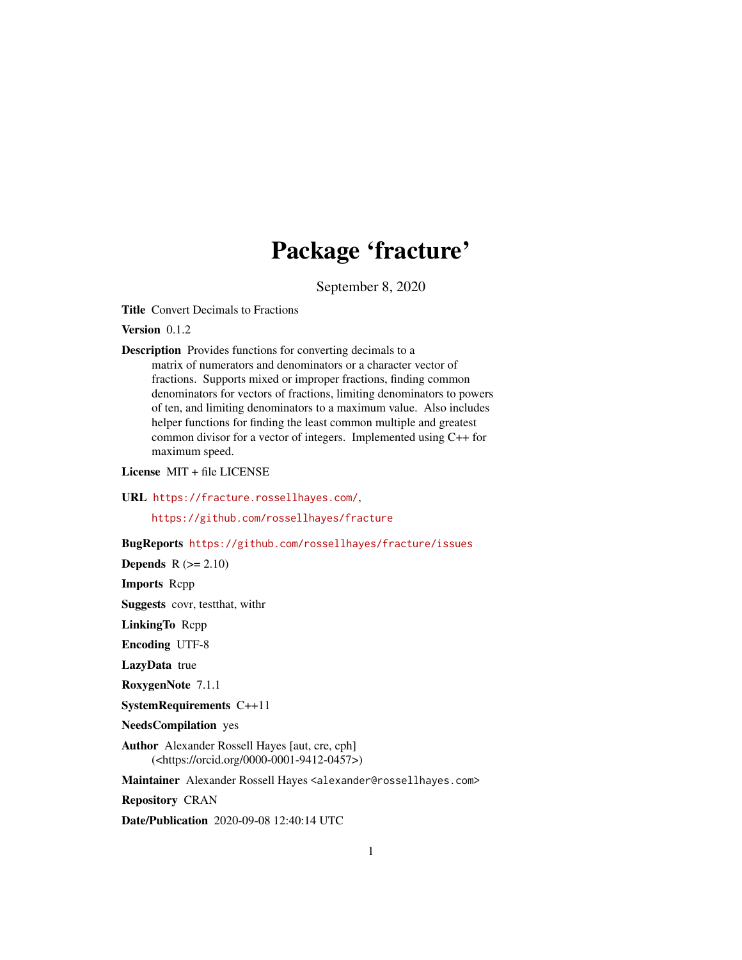# Package 'fracture'

September 8, 2020

<span id="page-0-0"></span>Title Convert Decimals to Fractions

Version 0.1.2

Description Provides functions for converting decimals to a matrix of numerators and denominators or a character vector of fractions. Supports mixed or improper fractions, finding common denominators for vectors of fractions, limiting denominators to powers of ten, and limiting denominators to a maximum value. Also includes helper functions for finding the least common multiple and greatest common divisor for a vector of integers. Implemented using C++ for maximum speed.

License MIT + file LICENSE

URL <https://fracture.rossellhayes.com/>,

<https://github.com/rossellhayes/fracture>

BugReports <https://github.com/rossellhayes/fracture/issues>

**Depends**  $R$  ( $>= 2.10$ )

Imports Rcpp

Suggests covr, testthat, withr

LinkingTo Rcpp

Encoding UTF-8

LazyData true

RoxygenNote 7.1.1

SystemRequirements C++11

NeedsCompilation yes

Author Alexander Rossell Hayes [aut, cre, cph] (<https://orcid.org/0000-0001-9412-0457>)

Maintainer Alexander Rossell Hayes <alexander@rossellhayes.com>

Repository CRAN

Date/Publication 2020-09-08 12:40:14 UTC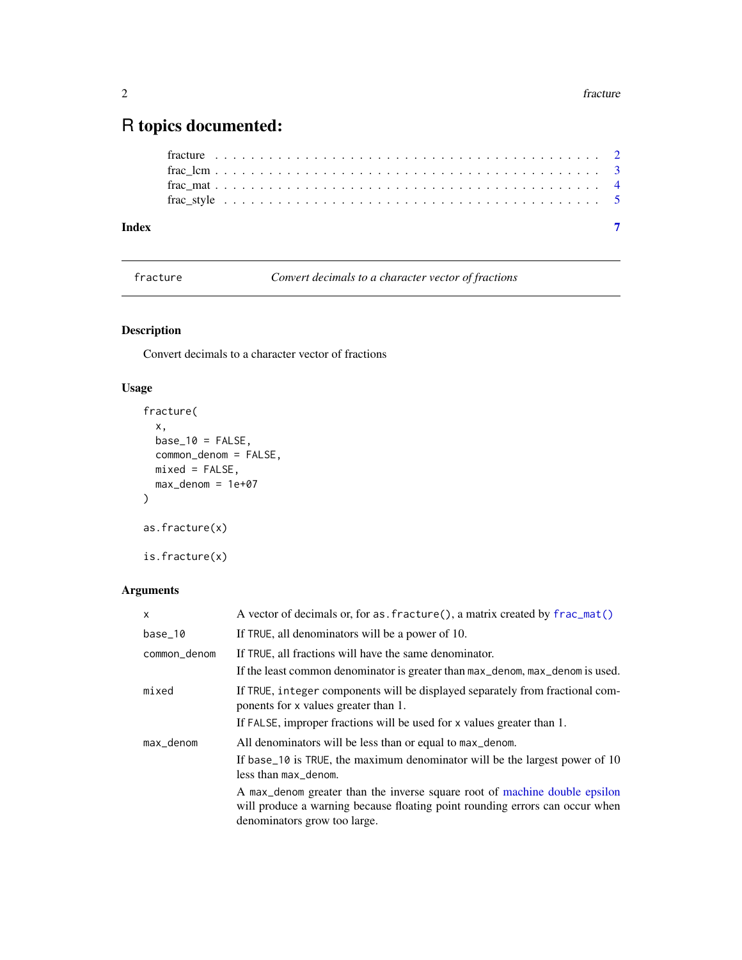## <span id="page-1-0"></span>R topics documented:

| Index |  |  |  |  |  |  |  |  |  |  |  |  |  |  |  |  |  |  |  |  |  |  |  |
|-------|--|--|--|--|--|--|--|--|--|--|--|--|--|--|--|--|--|--|--|--|--|--|--|

<span id="page-1-1"></span>fracture *Convert decimals to a character vector of fractions*

#### Description

Convert decimals to a character vector of fractions

#### Usage

```
fracture(
 x,
 base_10 = FALSE,common_denom = FALSE,
 mixed = FALSE,max\_denom = 1e+07)
as.fracture(x)
is.fracture(x)
```
#### Arguments

| $\mathsf{x}$ | A vector of decimals or, for as. fracture(), a matrix created by frac_mat()                                                                                                                |
|--------------|--------------------------------------------------------------------------------------------------------------------------------------------------------------------------------------------|
| base_10      | If TRUE, all denominators will be a power of 10.                                                                                                                                           |
| common_denom | If TRUE, all fractions will have the same denominator.                                                                                                                                     |
|              | If the least common denominator is greater than $max_{\alpha}$ denom, $max_{\alpha}$ denom is used.                                                                                        |
| mixed        | If TRUE, integer components will be displayed separately from fractional com-<br>ponents for x values greater than 1.                                                                      |
|              | If FALSE, improper fractions will be used for x values greater than 1.                                                                                                                     |
| max_denom    | All denominators will be less than or equal to max_denom.                                                                                                                                  |
|              | If base $\geq$ 10 is TRUE, the maximum denominator will be the largest power of 10<br>less than max_denom.                                                                                 |
|              | A max_denom greater than the inverse square root of machine double epsilon<br>will produce a warning because floating point rounding errors can occur when<br>denominators grow too large. |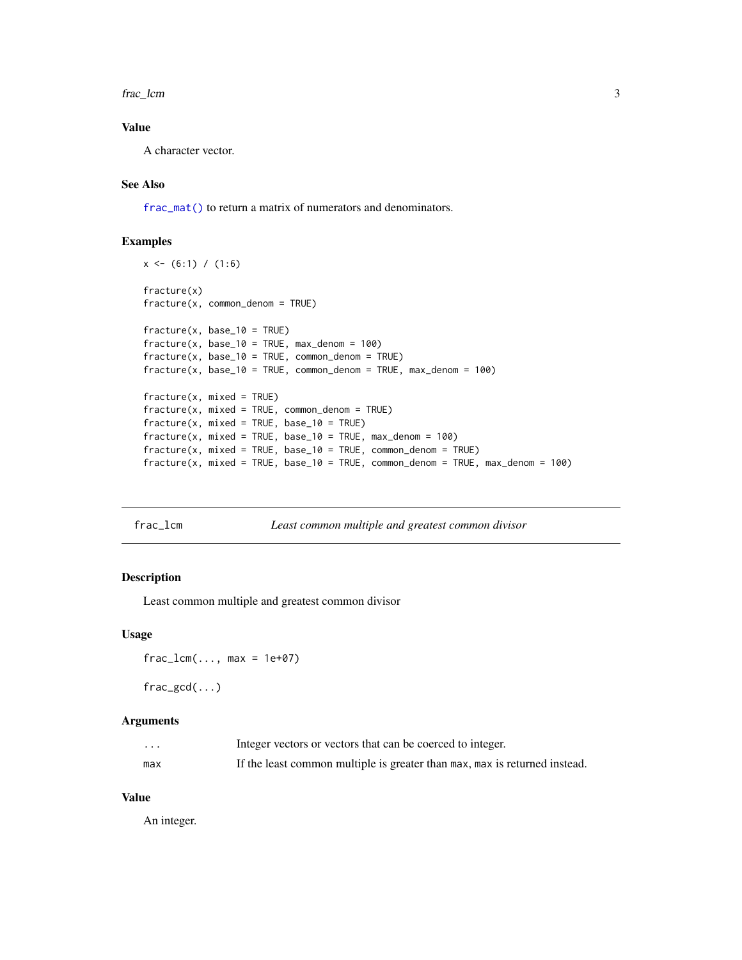<span id="page-2-0"></span>frac\_lcm 3

#### Value

A character vector.

#### See Also

[frac\\_mat\(\)](#page-3-1) to return a matrix of numerators and denominators.

#### Examples

```
x \leftarrow (6:1) / (1:6)fracture(x)
fracture(x, common_denom = TRUE)
fracture(x, base_10 = TRUE)fracture(x, base_10 = TRUE, max_denom = 100)fracture(x, base_10 = TRUE, common_denom = TRUE)fracture(x, base_10 = TRUE, common_denom = TRUE, max_denom = 100)fracture(x, mixed = TRUE)fracture(x, mixed = TRUE, common_denom = TRUE)
fracture(x, mixed = TRUE, base_10 = TRUE)fracture(x, mixed = TRUE, base_10 = TRUE, max_denom = 100)fracture(x, mixed = TRUE, base_10 = TRUE, common_denom = TRUE)fracture(x, mixed = TRUE, base_10 = TRUE, common_denom = TRUE, max_denom = 100)
```

| frac_lcm | Least common multiple and greatest common divisor |
|----------|---------------------------------------------------|
|----------|---------------------------------------------------|

#### Description

Least common multiple and greatest common divisor

#### Usage

 $frac_lcm(..., max = 1e+07)$ 

frac\_gcd(...)

#### Arguments

| $\cdot\cdot\cdot$ | Integer vectors or vectors that can be coerced to integer.                 |
|-------------------|----------------------------------------------------------------------------|
| max               | If the least common multiple is greater than max, max is returned instead. |

#### Value

An integer.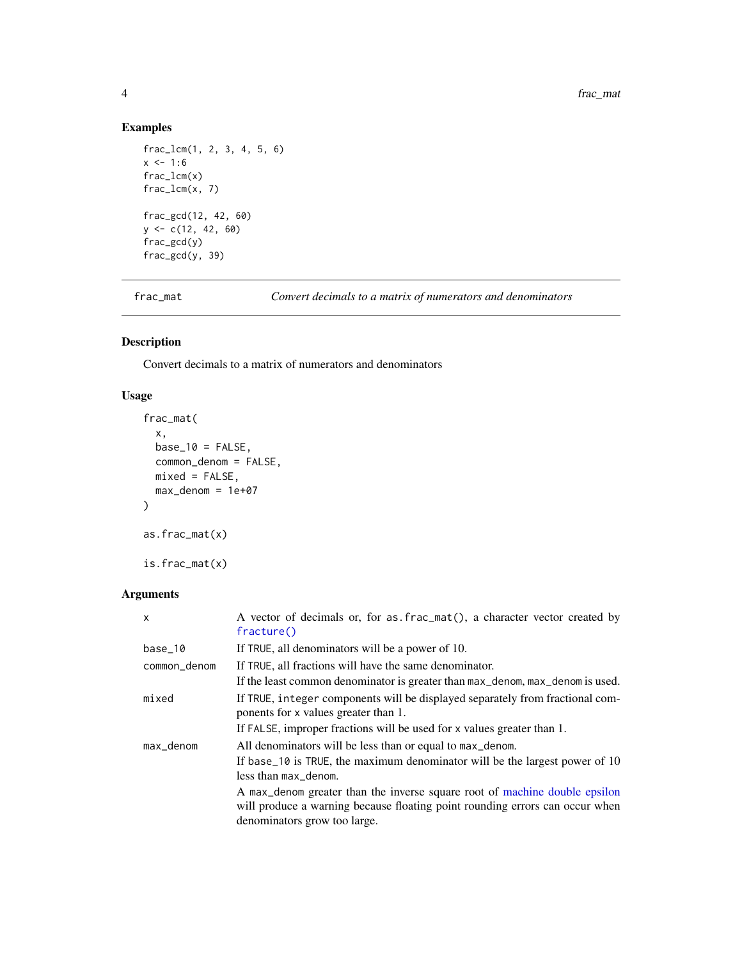#### Examples

```
frac_lcm(1, 2, 3, 4, 5, 6)
x < -1:6frac_lcm(x)
frac_lcm(x, 7)
frac_gcd(12, 42, 60)
y \leftarrow c(12, 42, 60)frac_gcd(y)
frac_gcd(y, 39)
```
<span id="page-3-1"></span>

frac\_mat *Convert decimals to a matrix of numerators and denominators*

#### Description

Convert decimals to a matrix of numerators and denominators

#### Usage

```
frac_mat(
 x,
 base_10 = FALSE,common_denom = FALSE,
 mixed = FALSE,max\_denom = 1e+07)
as.frac_mat(x)
is.frac_mat(x)
```
#### Arguments

| X            | A vector of decimals or, for as frac_mat(), a character vector created by           |
|--------------|-------------------------------------------------------------------------------------|
|              | fracture()                                                                          |
| base_10      | If TRUE, all denominators will be a power of 10.                                    |
| common_denom | If TRUE, all fractions will have the same denominator.                              |
|              | If the least common denominator is greater than $max$ -denom, $max$ -denom is used. |
| mixed        | If TRUE, integer components will be displayed separately from fractional com-       |
|              | ponents for x values greater than 1.                                                |
|              | If FALSE, improper fractions will be used for x values greater than 1.              |
| max_denom    | All denominators will be less than or equal to max_denom.                           |
|              | If base $\perp$ 10 is TRUE, the maximum denominator will be the largest power of 10 |
|              | less than max_denom.                                                                |
|              | A max_denom greater than the inverse square root of machine double epsilon          |
|              | will produce a warning because floating point rounding errors can occur when        |
|              | denominators grow too large.                                                        |

<span id="page-3-0"></span>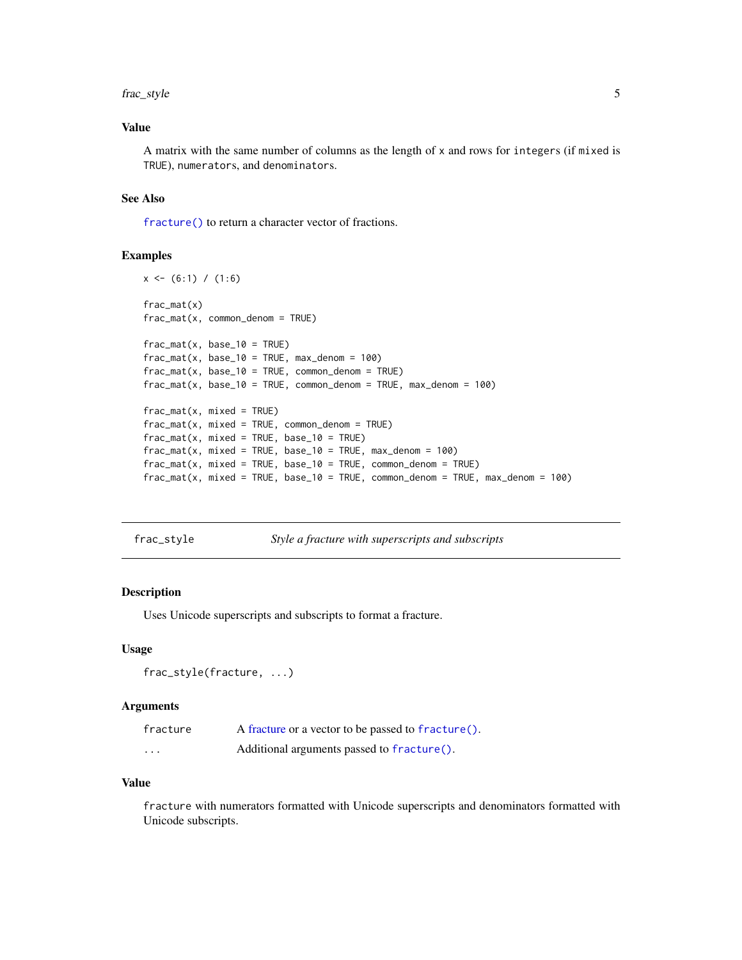#### <span id="page-4-0"></span>frac\_style 5

#### Value

A matrix with the same number of columns as the length of x and rows for integers (if mixed is TRUE), numerators, and denominators.

#### See Also

[fracture\(\)](#page-1-1) to return a character vector of fractions.

#### Examples

```
x \leftarrow (6:1) / (1:6)frac_mat(x)
frac_mat(x, common_denom = TRUE)
frac_m{at(x, base_10 = TRUE)}frac_mat(x, base_10 = TRUE, max_denom = 100)frac_m{at(x, base_10 = TRUE, common_denom = TRUE)}frac\_mat(x, base_10 = TRUE, common_denom = TRUE, max_denom = 100)frac_m{at(x, mixed = TRUE)}frac_mat(x, mixed = TRUE, common_denom = TRUE)frac_m{at(x, mixed = TRUE, base_10 = TRUE)}frac_mat(x, mixed = TRUE, base_10 = TRUE, max_denom = 100)frac_mat(x, mixed = TRUE, base_10 = TRUE, common_denom = TRUE)frac_mat(x, mixed = TRUE, base_10 = TRUE, common_denom = TRUE, max_denom = 100)
```
frac\_style *Style a fracture with superscripts and subscripts*

#### Description

Uses Unicode superscripts and subscripts to format a fracture.

#### Usage

```
frac_style(fracture, ...)
```
#### Arguments

| fracture | A fracture or a vector to be passed to fracture(). |
|----------|----------------------------------------------------|
| $\cdots$ | Additional arguments passed to fracture().         |

#### Value

fracture with numerators formatted with Unicode superscripts and denominators formatted with Unicode subscripts.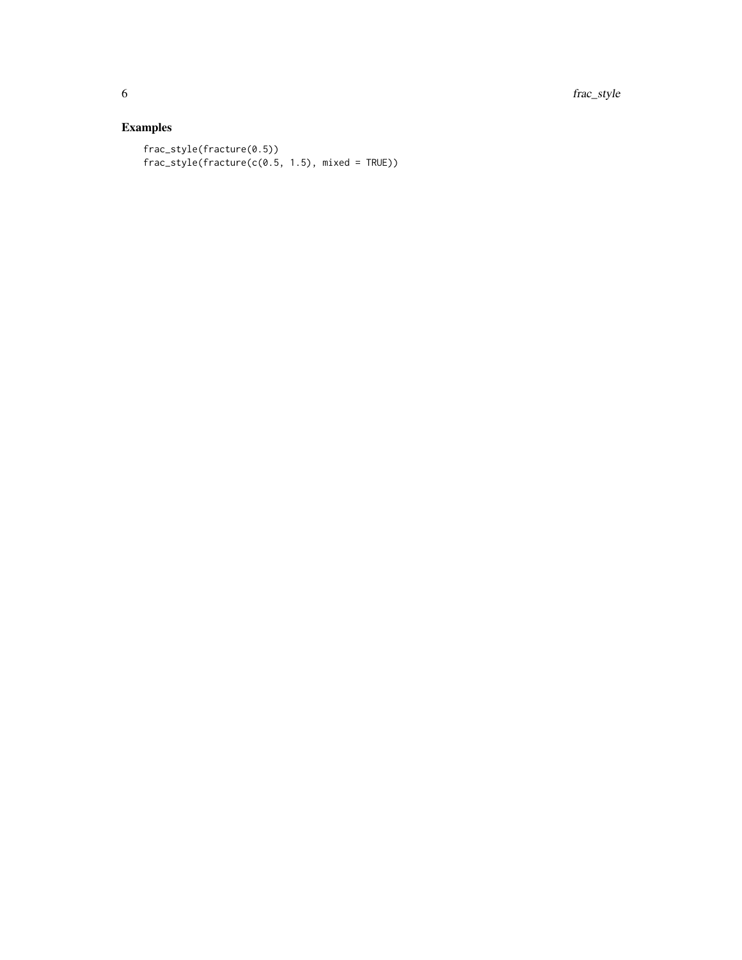6 frac\_style

### Examples

```
frac_style(fracture(0.5))
frac\_style(fracture(c(0.5, 1.5), mixed = TRUE))
```